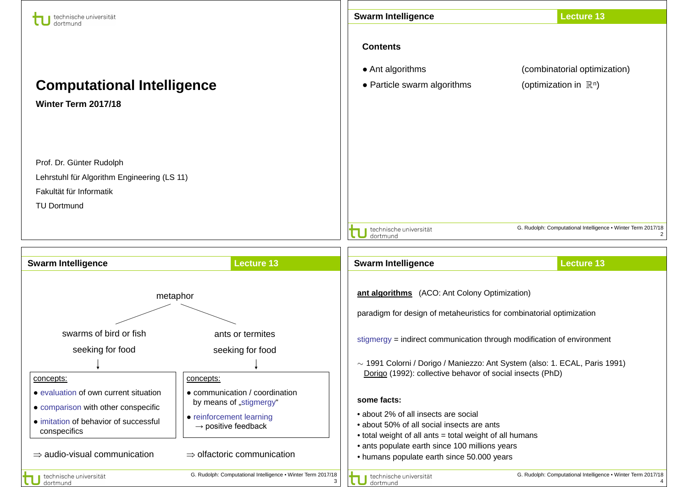| technische universität<br>dortmund          |                                                                   | <b>Swarm Intelligence</b>                                                                    | <b>Lecture 13</b>                                            |
|---------------------------------------------|-------------------------------------------------------------------|----------------------------------------------------------------------------------------------|--------------------------------------------------------------|
|                                             |                                                                   | <b>Contents</b>                                                                              |                                                              |
|                                             |                                                                   | • Ant algorithms                                                                             | (combinatorial optimization)                                 |
| <b>Computational Intelligence</b>           |                                                                   | • Particle swarm algorithms                                                                  | (optimization in $\mathbb{R}^n$ )                            |
| Winter Term 2017/18                         |                                                                   |                                                                                              |                                                              |
|                                             |                                                                   |                                                                                              |                                                              |
|                                             |                                                                   |                                                                                              |                                                              |
| Prof. Dr. Günter Rudolph                    |                                                                   |                                                                                              |                                                              |
| Lehrstuhl für Algorithm Engineering (LS 11) |                                                                   |                                                                                              |                                                              |
| Fakultät für Informatik                     |                                                                   |                                                                                              |                                                              |
| <b>TU Dortmund</b>                          |                                                                   |                                                                                              |                                                              |
|                                             |                                                                   | technische universität                                                                       | G. Rudolph: Computational Intelligence . Winter Term 2017/18 |
|                                             |                                                                   | dortmund                                                                                     | 2                                                            |
| <b>Swarm Intelligence</b>                   | <b>Lecture 13</b>                                                 | <b>Swarm Intelligence</b>                                                                    | <b>Lecture 13</b>                                            |
|                                             |                                                                   |                                                                                              |                                                              |
| metaphor                                    |                                                                   | ant algorithms (ACO: Ant Colony Optimization)                                                |                                                              |
|                                             |                                                                   | paradigm for design of metaheuristics for combinatorial optimization                         |                                                              |
| swarms of bird or fish                      | ants or termites                                                  |                                                                                              |                                                              |
| seeking for food                            | seeking for food                                                  | stigmergy = indirect communication through modification of environment                       |                                                              |
|                                             |                                                                   | $\sim$ 1991 Colorni / Dorigo / Maniezzo: Ant System (also: 1. ECAL, Paris 1991)              |                                                              |
| concepts:                                   | concepts:                                                         | Dorigo (1992): collective behavor of social insects (PhD)                                    |                                                              |
| • evaluation of own current situation       | • communication / coordination                                    | some facts:                                                                                  |                                                              |
| • comparison with other conspecific         | by means of "stigmergy"                                           | • about 2% of all insects are social                                                         |                                                              |
| • imitation of behavior of successful       | • reinforcement learning<br>$\rightarrow$ positive feedback       | • about 50% of all social insects are ants                                                   |                                                              |
| conspecifics                                |                                                                   | • total weight of all ants = total weight of all humans                                      |                                                              |
| $\Rightarrow$ audio-visual communication    | $\Rightarrow$ olfactoric communication                            | • ants populate earth since 100 millions years<br>• humans populate earth since 50.000 years |                                                              |
| technische universität<br>dortmund          | G. Rudolph: Computational Intelligence . Winter Term 2017/18<br>3 | technische universität<br>dortmund                                                           | G. Rudolph: Computational Intelligence . Winter Term 2017/18 |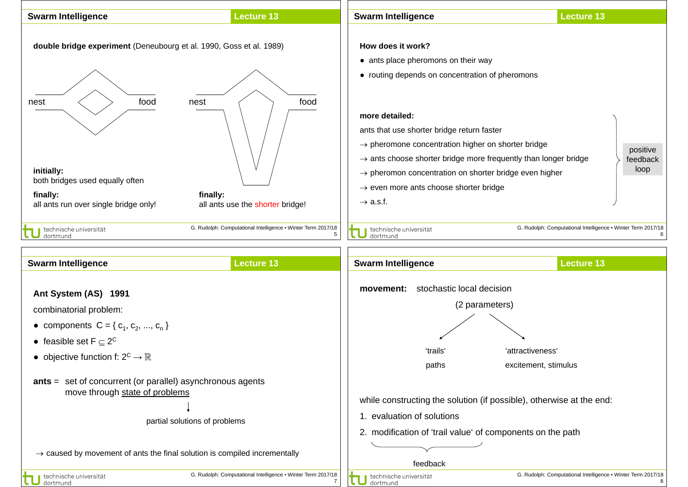



 $\rightarrow$  caused by movement of ants the final solution is compiled incrementally

technische universität dortmund

technische universität dortmund

feedback

2. modification of 'trail value' of components on the path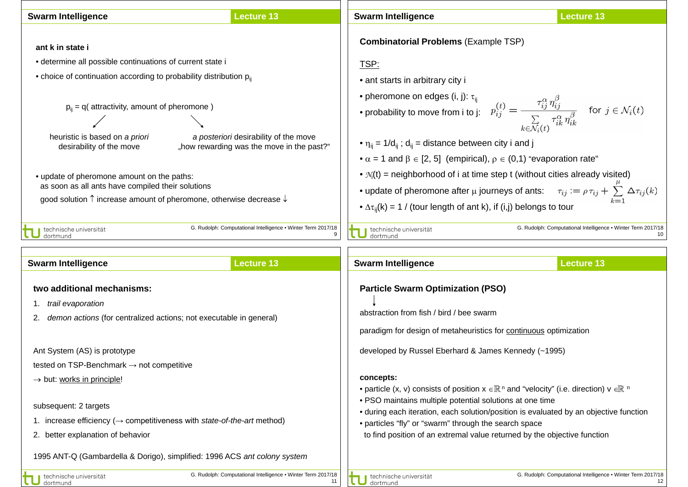